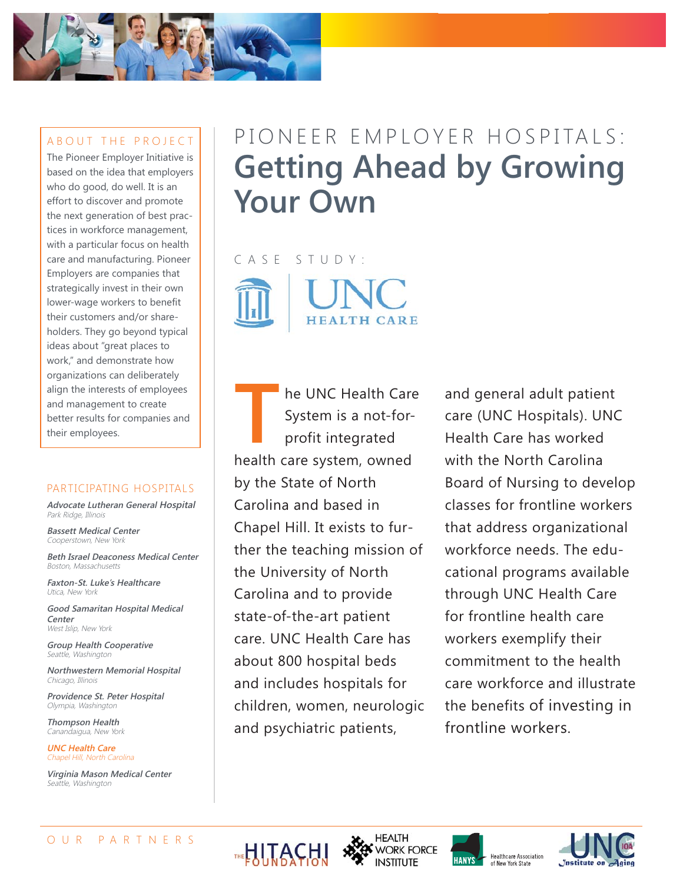

#### ABOUT THE PROJECT

The Pioneer Employer Initiative is based on the idea that employers who do good, do well. It is an effort to discover and promote the next generation of best practices in workforce management, with a particular focus on health care and manufacturing. Pioneer Employers are companies that strategically invest in their own lower-wage workers to benefit their customers and/or shareholders. They go beyond typical ideas about "great places to work," and demonstrate how organizations can deliberately align the interests of employees and management to create better results for companies and their employees.

#### PARTICIPATING HOSPITALS

**Advocate Lutheran General Hospital** Park Ridge, Illinois

**Bassett Medical Center** Cooperstown, New York

**Beth Israel Deaconess Medical Center** Boston, Massachusetts

**Faxton-St. Luke's Healthcare** Utica, New York

**Good Samaritan Hospital Medical Center** West Islip, New York

**Group Health Cooperative** Seattle, Washington

**Northwestern Memorial Hospital** Chicago, Illinois

**Providence St. Peter Hospital** Olympia, Washington

**Thompson Health** Canandaigua, New York

**UNC Health Care** Chapel Hill, North Carolina

**Virginia Mason Medical Center** Seattle, Washington

# PIONEER EMPLOYER HOSPITALS: **Getting Ahead by Growing Your Own**

CASE STUDY: **HEALTH CARE** 

**TRANSISTER HE UNC Health Care**<br>System is a not-for-<br>profit integrated<br>health care system owned System is a not-forprofit integrated health care system, owned by the State of North Carolina and based in Chapel Hill. It exists to further the teaching mission of the University of North Carolina and to provide state-of-the-art patient care. UNC Health Care has about 800 hospital beds and includes hospitals for children, women, neurologic and psychiatric patients,

and general adult patient care (UNC Hospitals). UNC Health Care has worked with the North Carolina Board of Nursing to develop classes for frontline workers that address organizational workforce needs. The educational programs available through UNC Health Care for frontline health care workers exemplify their commitment to the health care workforce and illustrate the benefits of investing in frontline workers.







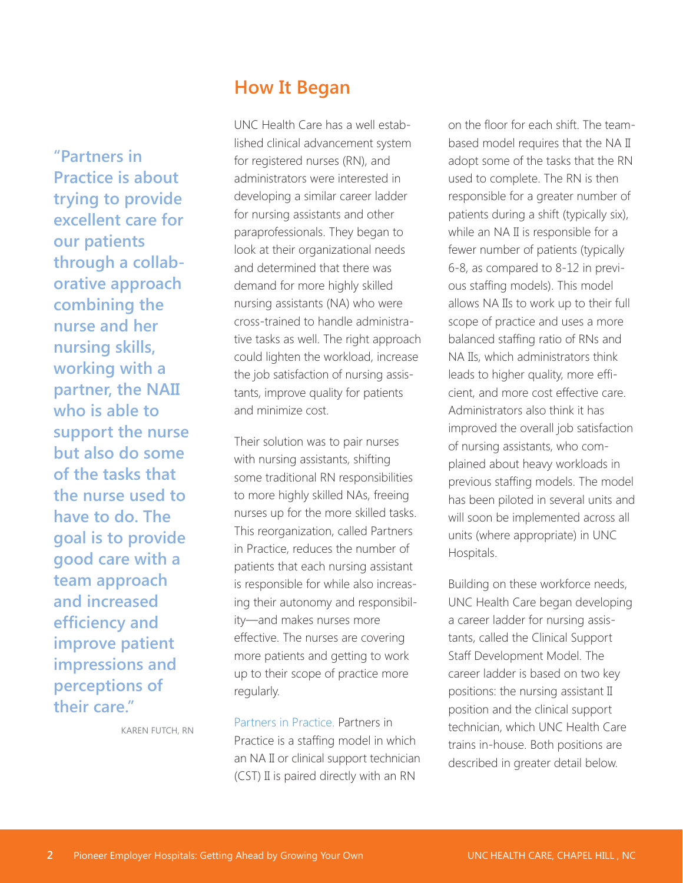**"Partners in Practice is about trying to provide excellent care for our patients through a collaborative approach combining the nurse and her nursing skills, working with a partner, the NAII who is able to support the nurse but also do some of the tasks that the nurse used to have to do. The goal is to provide good care with a team approach and increased efficiency and improve patient impressions and perceptions of their care."**

# **How It Began**

UNC Health Care has a well established clinical advancement system for registered nurses (RN), and administrators were interested in developing a similar career ladder for nursing assistants and other paraprofessionals. They began to look at their organizational needs and determined that there was demand for more highly skilled nursing assistants (NA) who were cross-trained to handle administrative tasks as well. The right approach could lighten the workload, increase the job satisfaction of nursing assistants, improve quality for patients and minimize cost.

Their solution was to pair nurses with nursing assistants, shifting some traditional RN responsibilities to more highly skilled NAs, freeing nurses up for the more skilled tasks. This reorganization, called Partners in Practice, reduces the number of patients that each nursing assistant is responsible for while also increasing their autonomy and responsibility—and makes nurses more effective. The nurses are covering more patients and getting to work up to their scope of practice more regularly.

Partners in Practice. Partners in Practice is a staffing model in which an NA II or clinical support technician (CST) II is paired directly with an RN

on the floor for each shift. The teambased model requires that the NA II adopt some of the tasks that the RN used to complete. The RN is then responsible for a greater number of patients during a shift (typically six), while an NA II is responsible for a fewer number of patients (typically 6-8, as compared to 8-12 in previous staffing models). This model allows NA IIs to work up to their full scope of practice and uses a more balanced staffing ratio of RNs and NA IIs, which administrators think leads to higher quality, more efficient, and more cost effective care. Administrators also think it has improved the overall job satisfaction of nursing assistants, who complained about heavy workloads in previous staffing models. The model has been piloted in several units and will soon be implemented across all units (where appropriate) in UNC Hospitals.

Building on these workforce needs, UNC Health Care began developing a career ladder for nursing assistants, called the Clinical Support Staff Development Model. The career ladder is based on two key positions: the nursing assistant II position and the clinical support technician, which UNC Health Care trains in-house. Both positions are described in greater detail below.

KAREN FUTCH, RN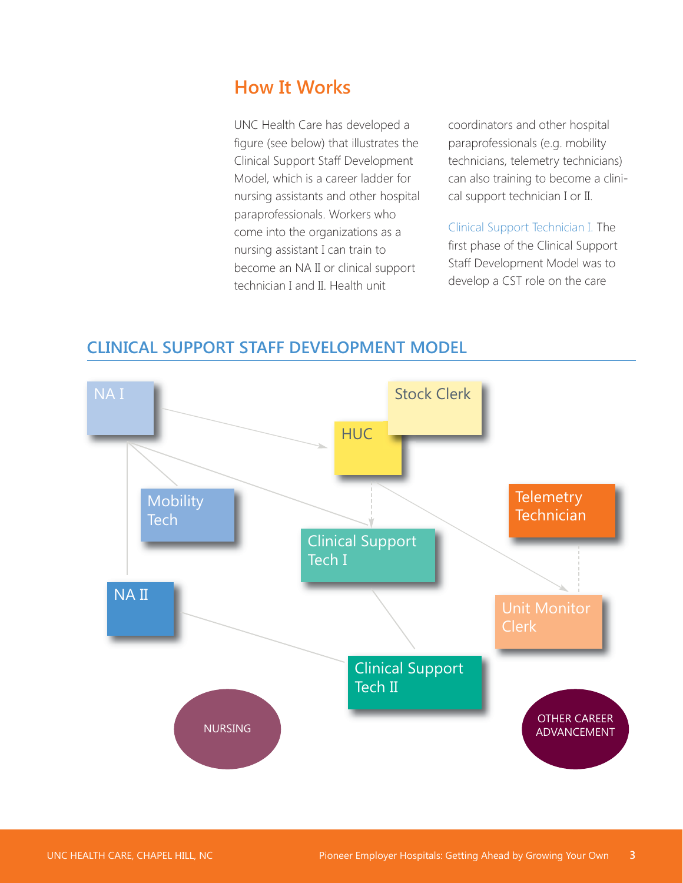# **How It Works**

UNC Health Care has developed a figure (see below) that illustrates the Clinical Support Staff Development Model, which is a career ladder for nursing assistants and other hospital paraprofessionals. Workers who come into the organizations as a nursing assistant I can train to become an NA II or clinical support technician I and II. Health unit

coordinators and other hospital paraprofessionals (e.g. mobility technicians, telemetry technicians) can also training to become a clinical support technician I or II.

Clinical Support Technician I. The first phase of the Clinical Support Staff Development Model was to develop a CST role on the care



### **CLINICAL SUPPORT STAFF DEVELOPMENT MODEL**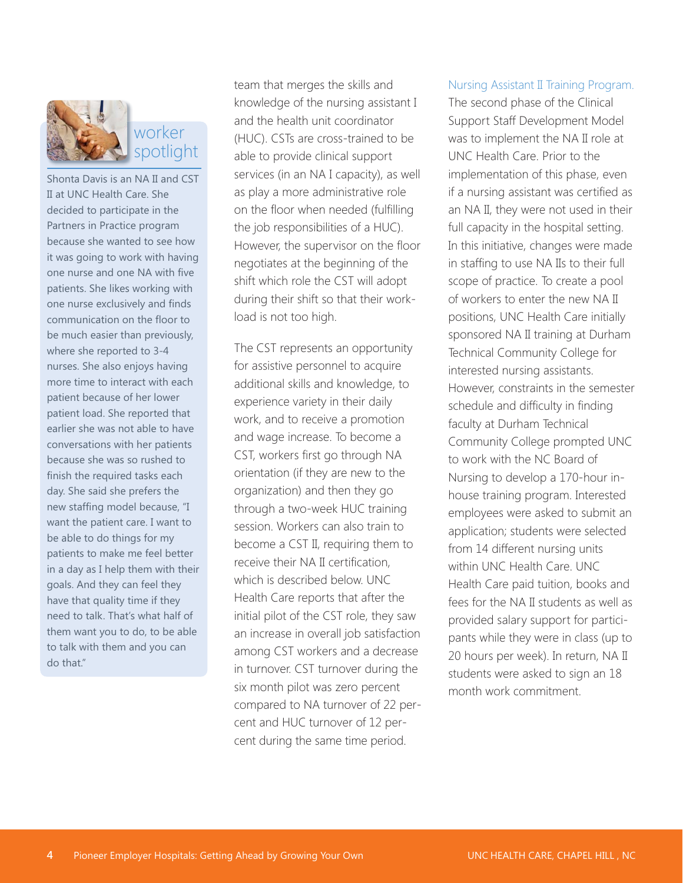

Shonta Davis is an NA II and CST II at UNC Health Care. She decided to participate in the Partners in Practice program because she wanted to see how it was going to work with having one nurse and one NA with five patients. She likes working with one nurse exclusively and finds communication on the floor to be much easier than previously, where she reported to 3-4 nurses. She also enjoys having more time to interact with each patient because of her lower patient load. She reported that earlier she was not able to have conversations with her patients because she was so rushed to finish the required tasks each day. She said she prefers the new staffing model because, "I want the patient care. I want to be able to do things for my patients to make me feel better in a day as I help them with their goals. And they can feel they have that quality time if they need to talk. That's what half of them want you to do, to be able to talk with them and you can do that."

team that merges the skills and knowledge of the nursing assistant I and the health unit coordinator (HUC). CSTs are cross-trained to be able to provide clinical support services (in an NA I capacity), as well as play a more administrative role on the floor when needed (fulfilling the job responsibilities of a HUC). However, the supervisor on the floor negotiates at the beginning of the shift which role the CST will adopt during their shift so that their workload is not too high.

The CST represents an opportunity for assistive personnel to acquire additional skills and knowledge, to experience variety in their daily work, and to receive a promotion and wage increase. To become a CST, workers first go through NA orientation (if they are new to the organization) and then they go through a two-week HUC training session. Workers can also train to become a CST II, requiring them to receive their NA II certification, which is described below. UNC Health Care reports that after the initial pilot of the CST role, they saw an increase in overall job satisfaction among CST workers and a decrease in turnover. CST turnover during the six month pilot was zero percent compared to NA turnover of 22 percent and HUC turnover of 12 percent during the same time period.

#### Nursing Assistant II Training Program.

The second phase of the Clinical Support Staff Development Model was to implement the NA II role at UNC Health Care. Prior to the implementation of this phase, even if a nursing assistant was certified as an NA II, they were not used in their full capacity in the hospital setting. In this initiative, changes were made in staffing to use NA IIs to their full scope of practice. To create a pool of workers to enter the new NA II positions, UNC Health Care initially sponsored NA II training at Durham Technical Community College for interested nursing assistants. However, constraints in the semester schedule and difficulty in finding faculty at Durham Technical Community College prompted UNC to work with the NC Board of Nursing to develop a 170-hour inhouse training program. Interested employees were asked to submit an application; students were selected from 14 different nursing units within UNC Health Care. UNC Health Care paid tuition, books and fees for the NA II students as well as provided salary support for participants while they were in class (up to 20 hours per week). In return, NA II students were asked to sign an 18 month work commitment.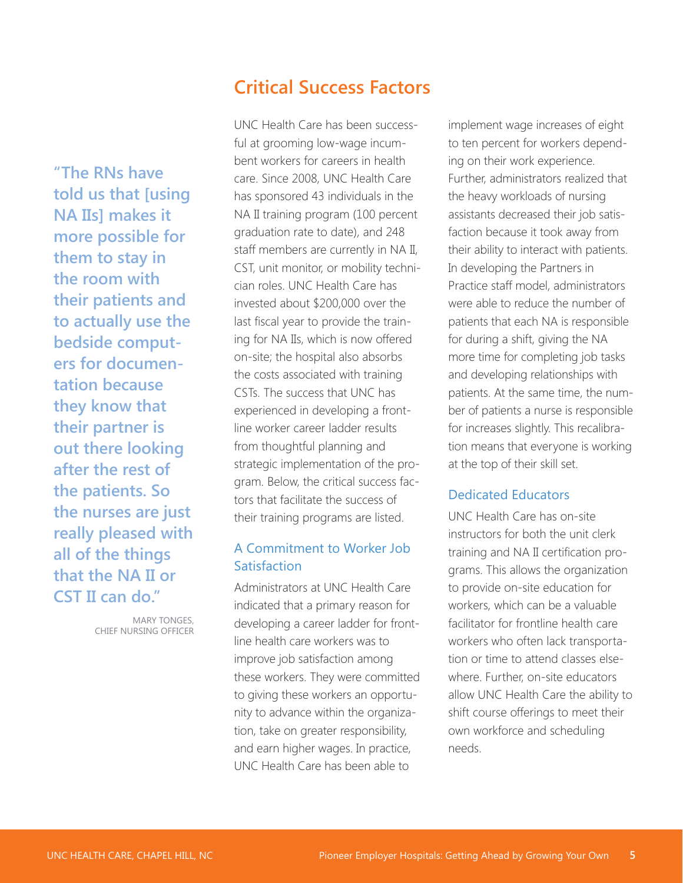**"The RNs have told us that [using NA IIs] makes it more possible for them to stay in the room with their patients and to actually use the bedside computers for documentation because they know that their partner is out there looking after the rest of the patients. So the nurses are just really pleased with all of the things that the NA II or CST II can do."**

> MARY TONGES, CHIEF NURSING OFFICER

## **Critical Success Factors**

UNC Health Care has been successful at grooming low-wage incumbent workers for careers in health care. Since 2008, UNC Health Care has sponsored 43 individuals in the NA II training program (100 percent graduation rate to date), and 248 staff members are currently in NA II, CST, unit monitor, or mobility technician roles. UNC Health Care has invested about \$200,000 over the last fiscal year to provide the training for NA IIs, which is now offered on-site; the hospital also absorbs the costs associated with training CSTs. The success that UNC has experienced in developing a frontline worker career ladder results from thoughtful planning and strategic implementation of the program. Below, the critical success factors that facilitate the success of their training programs are listed.

### A Commitment to Worker Job Satisfaction

Administrators at UNC Health Care indicated that a primary reason for developing a career ladder for frontline health care workers was to improve job satisfaction among these workers. They were committed to giving these workers an opportunity to advance within the organization, take on greater responsibility, and earn higher wages. In practice, UNC Health Care has been able to

implement wage increases of eight to ten percent for workers depending on their work experience. Further, administrators realized that the heavy workloads of nursing assistants decreased their job satisfaction because it took away from their ability to interact with patients. In developing the Partners in Practice staff model, administrators were able to reduce the number of patients that each NA is responsible for during a shift, giving the NA more time for completing job tasks and developing relationships with patients. At the same time, the number of patients a nurse is responsible for increases slightly. This recalibration means that everyone is working at the top of their skill set.

#### Dedicated Educators

UNC Health Care has on-site instructors for both the unit clerk training and NA II certification programs. This allows the organization to provide on-site education for workers, which can be a valuable facilitator for frontline health care workers who often lack transportation or time to attend classes elsewhere. Further, on-site educators allow UNC Health Care the ability to shift course offerings to meet their own workforce and scheduling needs.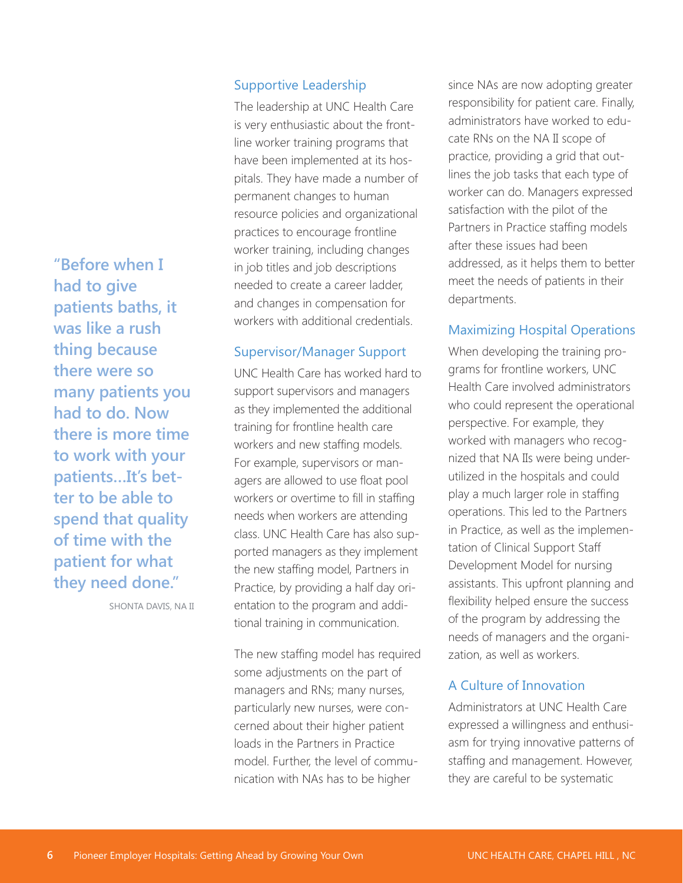**"Before when I had to give patients baths, it was like a rush thing because there were so many patients you had to do. Now there is more time to work with your patients…It's better to be able to spend that quality of time with the patient for what they need done."** 

SHONTA DAVIS, NA II

#### Supportive Leadership

The leadership at UNC Health Care is very enthusiastic about the frontline worker training programs that have been implemented at its hospitals. They have made a number of permanent changes to human resource policies and organizational practices to encourage frontline worker training, including changes in job titles and job descriptions needed to create a career ladder, and changes in compensation for workers with additional credentials.

#### Supervisor/Manager Support

UNC Health Care has worked hard to support supervisors and managers as they implemented the additional training for frontline health care workers and new staffing models. For example, supervisors or managers are allowed to use float pool workers or overtime to fill in staffing needs when workers are attending class. UNC Health Care has also supported managers as they implement the new staffing model, Partners in Practice, by providing a half day orientation to the program and additional training in communication.

The new staffing model has required some adjustments on the part of managers and RNs; many nurses, particularly new nurses, were concerned about their higher patient loads in the Partners in Practice model. Further, the level of communication with NAs has to be higher

since NAs are now adopting greater responsibility for patient care. Finally, administrators have worked to educate RNs on the NA II scope of practice, providing a grid that outlines the job tasks that each type of worker can do. Managers expressed satisfaction with the pilot of the Partners in Practice staffing models after these issues had been addressed, as it helps them to better meet the needs of patients in their departments.

#### Maximizing Hospital Operations

When developing the training programs for frontline workers, UNC Health Care involved administrators who could represent the operational perspective. For example, they worked with managers who recognized that NA IIs were being underutilized in the hospitals and could play a much larger role in staffing operations. This led to the Partners in Practice, as well as the implementation of Clinical Support Staff Development Model for nursing assistants. This upfront planning and flexibility helped ensure the success of the program by addressing the needs of managers and the organization, as well as workers.

#### A Culture of Innovation

Administrators at UNC Health Care expressed a willingness and enthusiasm for trying innovative patterns of staffing and management. However, they are careful to be systematic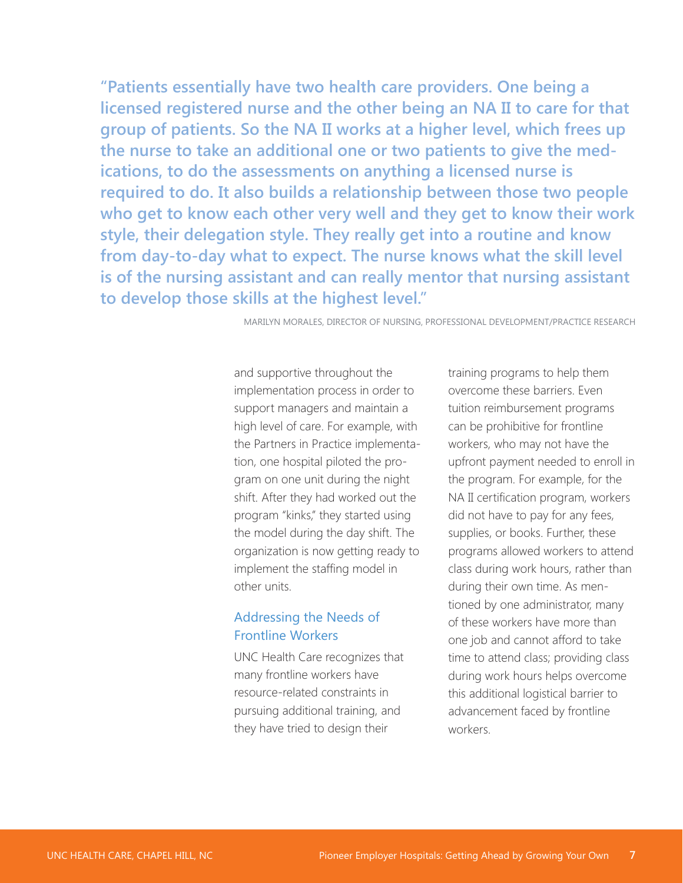**"Patients essentially have two health care providers. One being a licensed registered nurse and the other being an NA II to care for that group of patients. So the NA II works at a higher level, which frees up the nurse to take an additional one or two patients to give the medications, to do the assessments on anything a licensed nurse is required to do. It also builds a relationship between those two people who get to know each other very well and they get to know their work style, their delegation style. They really get into a routine and know from day-to-day what to expect. The nurse knows what the skill level is of the nursing assistant and can really mentor that nursing assistant to develop those skills at the highest level."**

MARILYN MORALES, DIRECTOR OF NURSING, PROFESSIONAL DEVELOPMENT/PRACTICE RESEARCH

and supportive throughout the implementation process in order to support managers and maintain a high level of care. For example, with the Partners in Practice implementation, one hospital piloted the program on one unit during the night shift. After they had worked out the program "kinks," they started using the model during the day shift. The organization is now getting ready to implement the staffing model in other units.

### Addressing the Needs of Frontline Workers

UNC Health Care recognizes that many frontline workers have resource-related constraints in pursuing additional training, and they have tried to design their

training programs to help them overcome these barriers. Even tuition reimbursement programs can be prohibitive for frontline workers, who may not have the upfront payment needed to enroll in the program. For example, for the NA II certification program, workers did not have to pay for any fees, supplies, or books. Further, these programs allowed workers to attend class during work hours, rather than during their own time. As mentioned by one administrator, many of these workers have more than one job and cannot afford to take time to attend class; providing class during work hours helps overcome this additional logistical barrier to advancement faced by frontline workers.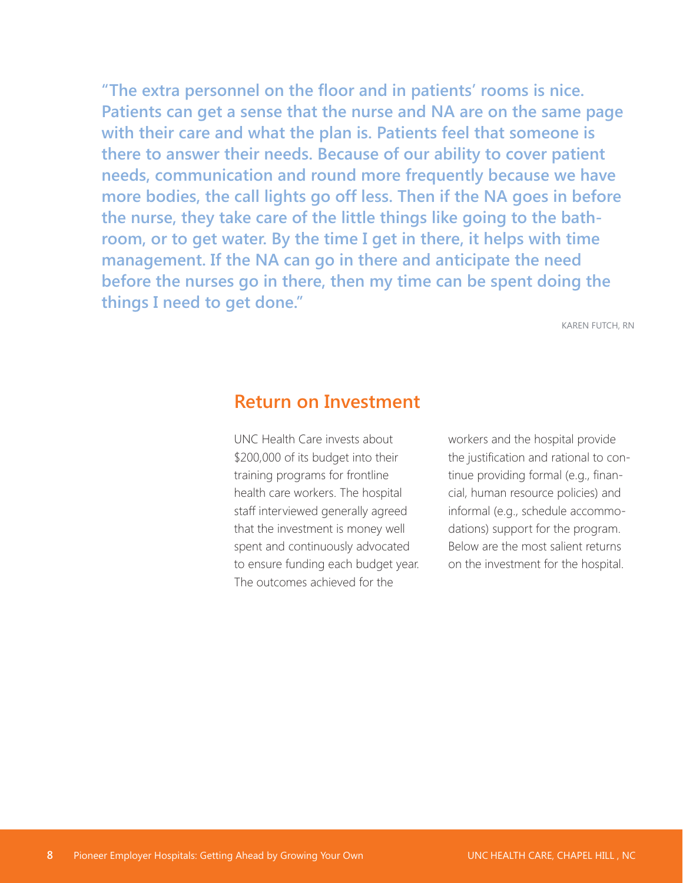**"The extra personnel on the floor and in patients' rooms is nice. Patients can get a sense that the nurse and NA are on the same page with their care and what the plan is. Patients feel that someone is there to answer their needs. Because of our ability to cover patient needs, communication and round more frequently because we have more bodies, the call lights go off less. Then if the NA goes in before the nurse, they take care of the little things like going to the bathroom, or to get water. By the time I get in there, it helps with time management. If the NA can go in there and anticipate the need before the nurses go in there, then my time can be spent doing the things I need to get done."**

KAREN FUTCH, RN

### **Return on Investment**

UNC Health Care invests about \$200,000 of its budget into their training programs for frontline health care workers. The hospital staff interviewed generally agreed that the investment is money well spent and continuously advocated to ensure funding each budget year. The outcomes achieved for the

workers and the hospital provide the justification and rational to continue providing formal (e.g., financial, human resource policies) and informal (e.g., schedule accommodations) support for the program. Below are the most salient returns on the investment for the hospital.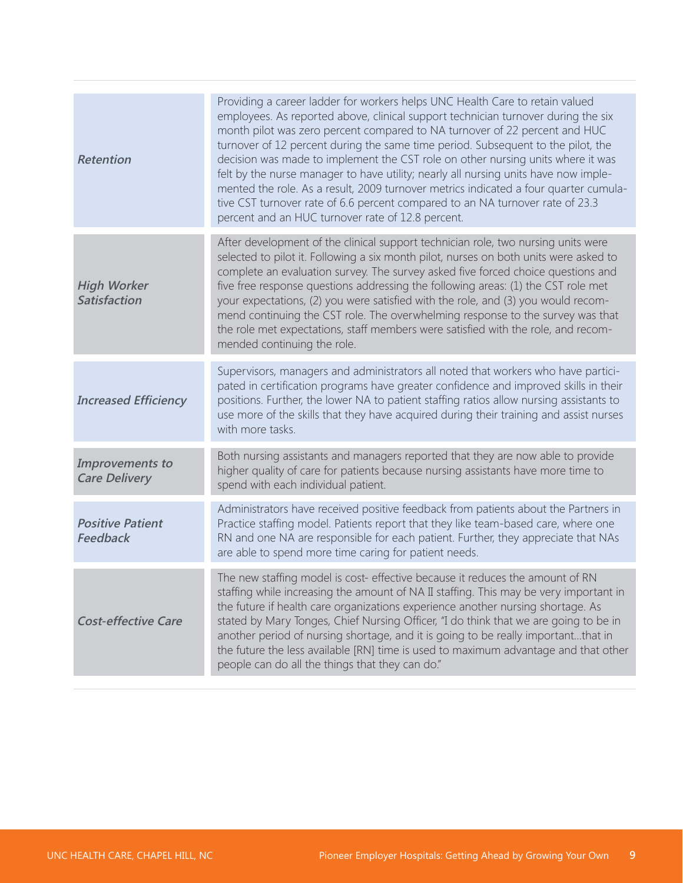| employees. As reported above, clinical support technician turnover during the six<br>month pilot was zero percent compared to NA turnover of 22 percent and HUC                                                                                                                                                                                                                                                                                                                                                                                                                                                 |
|-----------------------------------------------------------------------------------------------------------------------------------------------------------------------------------------------------------------------------------------------------------------------------------------------------------------------------------------------------------------------------------------------------------------------------------------------------------------------------------------------------------------------------------------------------------------------------------------------------------------|
| turnover of 12 percent during the same time period. Subsequent to the pilot, the<br>decision was made to implement the CST role on other nursing units where it was<br>felt by the nurse manager to have utility; nearly all nursing units have now imple-<br>mented the role. As a result, 2009 turnover metrics indicated a four quarter cumula-                                                                                                                                                                                                                                                              |
| After development of the clinical support technician role, two nursing units were<br>selected to pilot it. Following a six month pilot, nurses on both units were asked to<br>complete an evaluation survey. The survey asked five forced choice questions and<br>five free response questions addressing the following areas: (1) the CST role met<br>your expectations, (2) you were satisfied with the role, and (3) you would recom-<br>mend continuing the CST role. The overwhelming response to the survey was that<br>the role met expectations, staff members were satisfied with the role, and recom- |
| Supervisors, managers and administrators all noted that workers who have partici-<br>pated in certification programs have greater confidence and improved skills in their<br>positions. Further, the lower NA to patient staffing ratios allow nursing assistants to<br>use more of the skills that they have acquired during their training and assist nurses                                                                                                                                                                                                                                                  |
| Both nursing assistants and managers reported that they are now able to provide                                                                                                                                                                                                                                                                                                                                                                                                                                                                                                                                 |
| Administrators have received positive feedback from patients about the Partners in<br>Practice staffing model. Patients report that they like team-based care, where one<br>RN and one NA are responsible for each patient. Further, they appreciate that NAs                                                                                                                                                                                                                                                                                                                                                   |
| staffing while increasing the amount of NA II staffing. This may be very important in<br>stated by Mary Tonges, Chief Nursing Officer, "I do think that we are going to be in<br>another period of nursing shortage, and it is going to be really importantthat in<br>the future the less available [RN] time is used to maximum advantage and that other                                                                                                                                                                                                                                                       |
|                                                                                                                                                                                                                                                                                                                                                                                                                                                                                                                                                                                                                 |